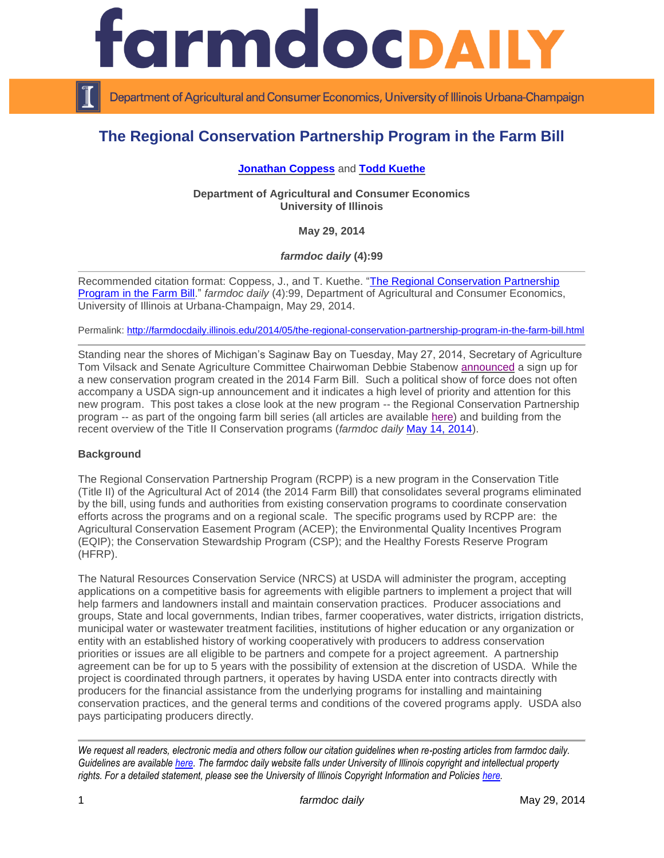

Department of Agricultural and Consumer Economics, University of Illinois Urbana-Champaign

# **The Regional Conservation Partnership Program in the Farm Bill**

# **[Jonathan Coppess](http://illinois.edu/ds/detail?userId=jwcoppes&search_type=all&search=*%20coppess&from_result_list=true&skinId=0&sub=)** and **[Todd Kuethe](http://farmdoc.illinois.edu/kuethe)**

**Department of Agricultural and Consumer Economics University of Illinois**

**May 29, 2014**

*farmdoc daily* **(4):99**

Recommended citation format: Coppess, J., and T. Kuethe. ["The Regional Conservation Partnership](http://farmdocdaily.illinois.edu/2014/05/the-regional-conservation-partnership-program-in-the-farm-bill.html)  [Program in the Farm Bill.](http://farmdocdaily.illinois.edu/2014/05/the-regional-conservation-partnership-program-in-the-farm-bill.html)" *farmdoc daily* (4):99, Department of Agricultural and Consumer Economics, University of Illinois at Urbana-Champaign, May 29, 2014.

Permalink: <http://farmdocdaily.illinois.edu/2014/05/the-regional-conservation-partnership-program-in-the-farm-bill.html>

Standing near the shores of Michigan's Saginaw Bay on Tuesday, May 27, 2014, Secretary of Agriculture Tom Vilsack and Senate Agriculture Committee Chairwoman Debbie Stabenow [announced](http://www.usda.gov/wps/portal/usda/usdahome?contentid=2014/05/0104.xml&contentidonly=true) a sign up for a new conservation program created in the 2014 Farm Bill. Such a political show of force does not often accompany a USDA sign-up announcement and it indicates a high level of priority and attention for this new program. This post takes a close look at the new program -- the Regional Conservation Partnership program -- as part of the ongoing farm bill series (all articles are available [here\)](http://farmdocdaily.illinois.edu/areas/2014_farm_bill/) and building from the recent overview of the Title II Conservation programs (*farmdoc daily* [May 14, 2014\)](http://farmdocdaily.illinois.edu/2014/05/2014-farm-bill-conservation-title-ii-programs.html).

## **Background**

The Regional Conservation Partnership Program (RCPP) is a new program in the Conservation Title (Title II) of the Agricultural Act of 2014 (the 2014 Farm Bill) that consolidates several programs eliminated by the bill, using funds and authorities from existing conservation programs to coordinate conservation efforts across the programs and on a regional scale. The specific programs used by RCPP are: the Agricultural Conservation Easement Program (ACEP); the Environmental Quality Incentives Program (EQIP); the Conservation Stewardship Program (CSP); and the Healthy Forests Reserve Program (HFRP).

The Natural Resources Conservation Service (NRCS) at USDA will administer the program, accepting applications on a competitive basis for agreements with eligible partners to implement a project that will help farmers and landowners install and maintain conservation practices. Producer associations and groups, State and local governments, Indian tribes, farmer cooperatives, water districts, irrigation districts, municipal water or wastewater treatment facilities, institutions of higher education or any organization or entity with an established history of working cooperatively with producers to address conservation priorities or issues are all eligible to be partners and compete for a project agreement. A partnership agreement can be for up to 5 years with the possibility of extension at the discretion of USDA. While the project is coordinated through partners, it operates by having USDA enter into contracts directly with producers for the financial assistance from the underlying programs for installing and maintaining conservation practices, and the general terms and conditions of the covered programs apply. USDA also pays participating producers directly.

*We request all readers, electronic media and others follow our citation guidelines when re-posting articles from farmdoc daily. Guidelines are available [here.](http://farmdocdaily.illinois.edu/citationguide.html) The farmdoc daily website falls under University of Illinois copyright and intellectual property rights. For a detailed statement, please see the University of Illinois Copyright Information and Policies [here.](http://www.cio.illinois.edu/policies/copyright/)*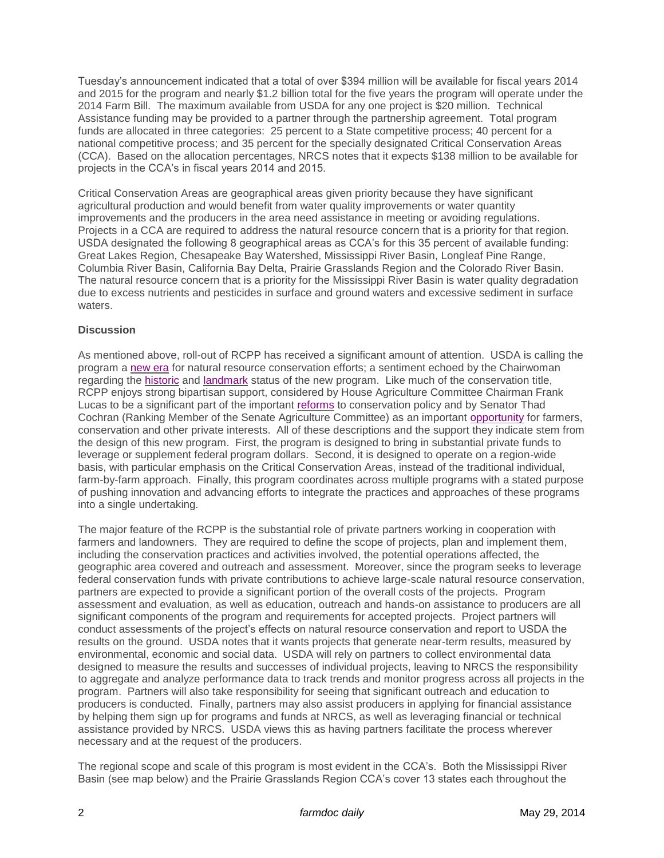Tuesday's announcement indicated that a total of over \$394 million will be available for fiscal years 2014 and 2015 for the program and nearly \$1.2 billion total for the five years the program will operate under the 2014 Farm Bill. The maximum available from USDA for any one project is \$20 million. Technical Assistance funding may be provided to a partner through the partnership agreement. Total program funds are allocated in three categories: 25 percent to a State competitive process; 40 percent for a national competitive process; and 35 percent for the specially designated Critical Conservation Areas (CCA). Based on the allocation percentages, NRCS notes that it expects \$138 million to be available for projects in the CCA's in fiscal years 2014 and 2015.

Critical Conservation Areas are geographical areas given priority because they have significant agricultural production and would benefit from water quality improvements or water quantity improvements and the producers in the area need assistance in meeting or avoiding regulations. Projects in a CCA are required to address the natural resource concern that is a priority for that region. USDA designated the following 8 geographical areas as CCA's for this 35 percent of available funding: Great Lakes Region, Chesapeake Bay Watershed, Mississippi River Basin, Longleaf Pine Range, Columbia River Basin, California Bay Delta, Prairie Grasslands Region and the Colorado River Basin. The natural resource concern that is a priority for the Mississippi River Basin is water quality degradation due to excess nutrients and pesticides in surface and ground waters and excessive sediment in surface waters.

#### **Discussion**

As mentioned above, roll-out of RCPP has received a significant amount of attention. USDA is calling the program a [new era](http://www.usda.gov/wps/portal/usda/usdahome?contentid=2014/05/0104.xml&contentidonly=true) for natural resource conservation efforts; a sentiment echoed by the Chairwoman regarding the [historic](http://www.stabenow.senate.gov/?p=press_release&id=1365) and [landmark](http://www.mlive.com/news/bay-city/index.ssf/2014/05/landmark_multi-billion_dollar.html) status of the new program. Like much of the conservation title, RCPP enjoys strong bipartisan support, considered by House Agriculture Committee Chairman Frank Lucas to be a significant part of the important [reforms](https://agriculture.house.gov/statements/floor-statement-chairman-frank-d-lucas-hr-1947-federal-agriculture-reform-and-risk) to conservation policy and by Senator Thad Cochran (Ranking Member of the Senate Agriculture Committee) as an important [opportunity](http://www.cochran.senate.gov/public/index.cfm/news-releases?ID=d3dbf193-b96d-49c4-865e-79bbc173af84) for farmers, conservation and other private interests. All of these descriptions and the support they indicate stem from the design of this new program. First, the program is designed to bring in substantial private funds to leverage or supplement federal program dollars. Second, it is designed to operate on a region-wide basis, with particular emphasis on the Critical Conservation Areas, instead of the traditional individual, farm-by-farm approach. Finally, this program coordinates across multiple programs with a stated purpose of pushing innovation and advancing efforts to integrate the practices and approaches of these programs into a single undertaking.

The major feature of the RCPP is the substantial role of private partners working in cooperation with farmers and landowners. They are required to define the scope of projects, plan and implement them, including the conservation practices and activities involved, the potential operations affected, the geographic area covered and outreach and assessment. Moreover, since the program seeks to leverage federal conservation funds with private contributions to achieve large-scale natural resource conservation, partners are expected to provide a significant portion of the overall costs of the projects. Program assessment and evaluation, as well as education, outreach and hands-on assistance to producers are all significant components of the program and requirements for accepted projects. Project partners will conduct assessments of the project's effects on natural resource conservation and report to USDA the results on the ground. USDA notes that it wants projects that generate near-term results, measured by environmental, economic and social data. USDA will rely on partners to collect environmental data designed to measure the results and successes of individual projects, leaving to NRCS the responsibility to aggregate and analyze performance data to track trends and monitor progress across all projects in the program. Partners will also take responsibility for seeing that significant outreach and education to producers is conducted. Finally, partners may also assist producers in applying for financial assistance by helping them sign up for programs and funds at NRCS, as well as leveraging financial or technical assistance provided by NRCS. USDA views this as having partners facilitate the process wherever necessary and at the request of the producers.

The regional scope and scale of this program is most evident in the CCA's. Both the Mississippi River Basin (see map below) and the Prairie Grasslands Region CCA's cover 13 states each throughout the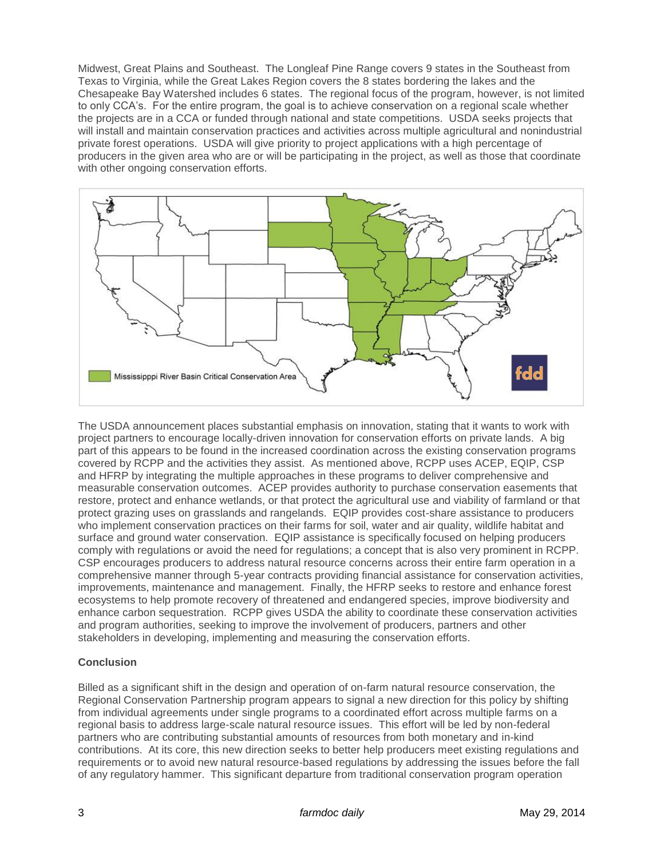Midwest, Great Plains and Southeast. The Longleaf Pine Range covers 9 states in the Southeast from Texas to Virginia, while the Great Lakes Region covers the 8 states bordering the lakes and the Chesapeake Bay Watershed includes 6 states. The regional focus of the program, however, is not limited to only CCA's. For the entire program, the goal is to achieve conservation on a regional scale whether the projects are in a CCA or funded through national and state competitions. USDA seeks projects that will install and maintain conservation practices and activities across multiple agricultural and nonindustrial private forest operations. USDA will give priority to project applications with a high percentage of producers in the given area who are or will be participating in the project, as well as those that coordinate with other ongoing conservation efforts.



The USDA announcement places substantial emphasis on innovation, stating that it wants to work with project partners to encourage locally-driven innovation for conservation efforts on private lands. A big part of this appears to be found in the increased coordination across the existing conservation programs covered by RCPP and the activities they assist. As mentioned above, RCPP uses ACEP, EQIP, CSP and HFRP by integrating the multiple approaches in these programs to deliver comprehensive and measurable conservation outcomes. ACEP provides authority to purchase conservation easements that restore, protect and enhance wetlands, or that protect the agricultural use and viability of farmland or that protect grazing uses on grasslands and rangelands. EQIP provides cost-share assistance to producers who implement conservation practices on their farms for soil, water and air quality, wildlife habitat and surface and ground water conservation. EQIP assistance is specifically focused on helping producers comply with regulations or avoid the need for regulations; a concept that is also very prominent in RCPP. CSP encourages producers to address natural resource concerns across their entire farm operation in a comprehensive manner through 5-year contracts providing financial assistance for conservation activities, improvements, maintenance and management. Finally, the HFRP seeks to restore and enhance forest ecosystems to help promote recovery of threatened and endangered species, improve biodiversity and enhance carbon sequestration. RCPP gives USDA the ability to coordinate these conservation activities and program authorities, seeking to improve the involvement of producers, partners and other stakeholders in developing, implementing and measuring the conservation efforts.

# **Conclusion**

Billed as a significant shift in the design and operation of on-farm natural resource conservation, the Regional Conservation Partnership program appears to signal a new direction for this policy by shifting from individual agreements under single programs to a coordinated effort across multiple farms on a regional basis to address large-scale natural resource issues. This effort will be led by non-federal partners who are contributing substantial amounts of resources from both monetary and in-kind contributions. At its core, this new direction seeks to better help producers meet existing regulations and requirements or to avoid new natural resource-based regulations by addressing the issues before the fall of any regulatory hammer. This significant departure from traditional conservation program operation